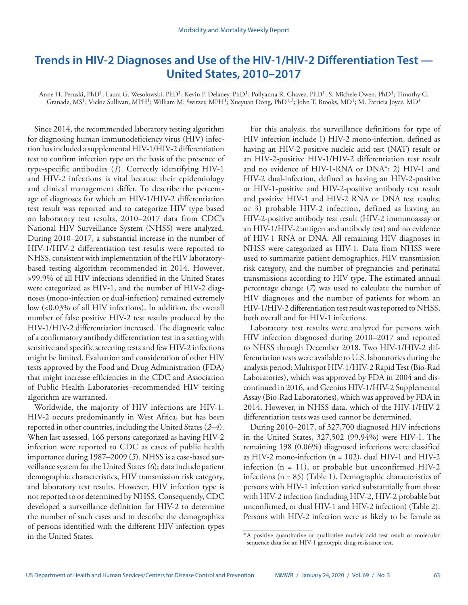# **Trends in HIV-2 Diagnoses and Use of the HIV-1/HIV-2 Differentiation Test — United States, 2010–2017**

Anne H. Peruski, PhD<sup>1</sup>; Laura G. Wesolowski, PhD<sup>1</sup>; Kevin P. Delaney, PhD<sup>1</sup>; Pollyanna R. Chavez, PhD<sup>1</sup>; S. Michele Owen, PhD<sup>1</sup>; Timothy C. Granade, MS<sup>1</sup>; Vickie Sullivan, MPH<sup>1</sup>; William M. Switzer, MPH<sup>1</sup>; Xueyuan Dong, PhD<sup>1,2</sup>; John T. Brooks, MD<sup>1</sup>; M. Patricia Joyce, MD<sup>1</sup>

Since 2014, the recommended laboratory testing algorithm for diagnosing human immunodeficiency virus (HIV) infection has included a supplemental HIV-1/HIV-2 differentiation test to confirm infection type on the basis of the presence of type-specific antibodies (*1*). Correctly identifying HIV-1 and HIV-2 infections is vital because their epidemiology and clinical management differ. To describe the percentage of diagnoses for which an HIV-1/HIV-2 differentiation test result was reported and to categorize HIV type based on laboratory test results, 2010–2017 data from CDC's National HIV Surveillance System (NHSS) were analyzed. During 2010–2017, a substantial increase in the number of HIV-1/HIV-2 differentiation test results were reported to NHSS, consistent with implementation of the HIV laboratorybased testing algorithm recommended in 2014. However, >99.9% of all HIV infections identified in the United States were categorized as HIV-1, and the number of HIV-2 diagnoses (mono-infection or dual-infection) remained extremely low (<0.03% of all HIV infections). In addition, the overall number of false positive HIV-2 test results produced by the HIV-1/HIV-2 differentiation increased. The diagnostic value of a confirmatory antibody differentiation test in a setting with sensitive and specific screening tests and few HIV-2 infections might be limited. Evaluation and consideration of other HIV tests approved by the Food and Drug Administration (FDA) that might increase efficiencies in the CDC and Association of Public Health Laboratories–recommended HIV testing algorithm are warranted.

Worldwide, the majority of HIV infections are HIV-1. HIV-2 occurs predominantly in West Africa, but has been reported in other countries, including the United States (*2*–*4*). When last assessed, 166 persons categorized as having HIV-2 infection were reported to CDC as cases of public health importance during 1987–2009 (*5*). NHSS is a case-based surveillance system for the United States (*6*); data include patient demographic characteristics, HIV transmission risk category, and laboratory test results. However, HIV infection type is not reported to or determined by NHSS. Consequently, CDC developed a surveillance definition for HIV-2 to determine the number of such cases and to describe the demographics of persons identified with the different HIV infection types in the United States.

For this analysis, the surveillance definitions for type of HIV infection include 1) HIV-2 mono-infection, defined as having an HIV-2-positive nucleic acid test (NAT) result or an HIV-2-positive HIV-1/HIV-2 differentiation test result and no evidence of HIV-1-RNA or DNA\*; 2) HIV-1 and HIV-2 dual-infection, defined as having an HIV-2-positive or HIV-1-positive and HIV-2-positive antibody test result and positive HIV-1 and HIV-2 RNA or DNA test results; or 3) probable HIV-2 infection, defined as having an HIV-2-positive antibody test result (HIV-2 immunoassay or an HIV-1/HIV-2 antigen and antibody test) and no evidence of HIV-1 RNA or DNA. All remaining HIV diagnoses in NHSS were categorized as HIV-1. Data from NHSS were used to summarize patient demographics, HIV transmission risk category, and the number of pregnancies and perinatal transmissions according to HIV type. The estimated annual percentage change (*7*) was used to calculate the number of HIV diagnoses and the number of patients for whom an HIV-1/HIV-2 differentiation test result was reported to NHSS, both overall and for HIV-1 infections.

Laboratory test results were analyzed for persons with HIV infection diagnosed during 2010–2017 and reported to NHSS through December 2018. Two HIV-1/HIV-2 differentiation tests were available to U.S. laboratories during the analysis period: Multispot HIV-1/HIV-2 Rapid Test (Bio-Rad Laboratories), which was approved by FDA in 2004 and discontinued in 2016, and Geenius HIV-1/HIV-2 Supplemental Assay (Bio-Rad Laboratories), which was approved by FDA in 2014. However, in NHSS data, which of the HIV-1/HIV-2 differentiation tests was used cannot be determined.

During 2010–2017, of 327,700 diagnosed HIV infections in the United States, 327,502 (99.94%) were HIV-1. The remaining 198 (0.06%) diagnosed infections were classified as HIV-2 mono-infection ( $n = 102$ ), dual HIV-1 and HIV-2 infection  $(n = 11)$ , or probable but unconfirmed HIV-2 infections (n = 85) (Table 1). Demographic characteristics of persons with HIV-1 infection varied substantially from those with HIV-2 infection (including HIV-2, HIV-2 probable but unconfirmed, or dual HIV-1 and HIV-2 infection) (Table 2). Persons with HIV-2 infection were as likely to be female as

<sup>\*</sup>A positive quantitative or qualitative nucleic acid test result or molecular sequence data for an HIV-1 genotypic drug-resistance test.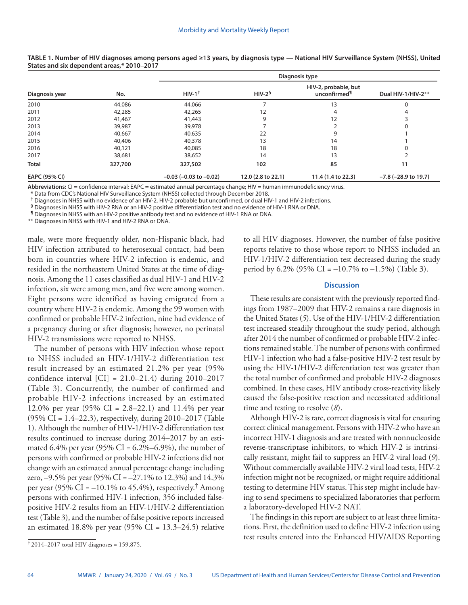|                | No.     | Diagnosis type                 |                    |                                                  |                           |
|----------------|---------|--------------------------------|--------------------|--------------------------------------------------|---------------------------|
| Diagnosis year |         | $HIV-1$ <sup>+</sup>           | $HIV-25$           | HIV-2, probable, but<br>unconfirmed <sup>1</sup> | Dual HIV-1/HIV-2**        |
| 2010           | 44,086  | 44,066                         |                    | 13                                               |                           |
| 2011           | 42,285  | 42,265                         | 12                 |                                                  |                           |
| 2012           | 41,467  | 41,443                         | 9                  | 12                                               |                           |
| 2013           | 39,987  | 39,978                         |                    |                                                  |                           |
| 2014           | 40,667  | 40,635                         | 22                 | 9                                                |                           |
| 2015           | 40,406  | 40,378                         | 13                 | 14                                               |                           |
| 2016           | 40,121  | 40,085                         | 18                 | 18                                               |                           |
| 2017           | 38,681  | 38,652                         | 14                 | 13                                               |                           |
| <b>Total</b>   | 327,700 | 327,502                        | 102                | 85                                               | 11                        |
| EAPC (95% CI)  |         | $-0.03$ ( $-0.03$ to $-0.02$ ) | 12.0 (2.8 to 22.1) | 11.4 (1.4 to 22.3)                               | $-7.8$ ( $-28.9$ to 19.7) |

**TABLE 1. Number of HIV diagnoses among persons aged ≥13 years, by diagnosis type — National HIV Surveillance System (NHSS), United States and six dependent areas,\* 2010–2017**

**Abbreviations:** CI = confidence interval; EAPC = estimated annual percentage change; HIV = human immunodeficiency virus.

\* Data from CDC's National HIV Surveillance System (NHSS) collected through December 2018.

† Diagnoses in NHSS with no evidence of an HIV-2, HIV-2 probable but unconfirmed, or dual HIV-1 and HIV-2 infections.

§ Diagnoses in NHSS with HIV-2 RNA or an HIV-2 positive differentiation test and no evidence of HIV-1 RNA or DNA.

¶ Diagnoses in NHSS with an HIV-2 positive antibody test and no evidence of HIV-1 RNA or DNA.

\*\* Diagnoses in NHSS with HIV-1 and HIV-2 RNA or DNA.

male, were more frequently older, non-Hispanic black, had HIV infection attributed to heterosexual contact, had been born in countries where HIV-2 infection is endemic, and resided in the northeastern United States at the time of diagnosis. Among the 11 cases classified as dual HIV-1 and HIV-2 infection, six were among men, and five were among women. Eight persons were identified as having emigrated from a country where HIV-2 is endemic. Among the 99 women with confirmed or probable HIV-2 infection, nine had evidence of a pregnancy during or after diagnosis; however, no perinatal HIV-2 transmissions were reported to NHSS.

The number of persons with HIV infection whose report to NHSS included an HIV-1/HIV-2 differentiation test result increased by an estimated 21.2% per year (95% confidence interval [CI] = 21.0–21.4) during 2010–2017 (Table 3). Concurrently, the number of confirmed and probable HIV-2 infections increased by an estimated 12.0% per year (95% CI = 2.8–22.1) and 11.4% per year (95% CI = 1.4–22.3), respectively, during 2010–2017 (Table 1). Although the number of HIV-1/HIV-2 differentiation test results continued to increase during 2014–2017 by an estimated 6.4% per year (95% CI =  $6.2\% - 6.9\%$ ), the number of persons with confirmed or probable HIV-2 infections did not change with an estimated annual percentage change including zero,  $-9.5\%$  per year (95% CI =  $-27.1\%$  to 12.3%) and 14.3% per year (95% CI =  $-10.1\%$  to 45.4%), respectively.<sup>†</sup> Among persons with confirmed HIV-1 infection, 356 included falsepositive HIV-2 results from an HIV-1/HIV-2 differentiation test (Table 3), and the number of false positive reports increased an estimated 18.8% per year (95% CI =  $13.3-24.5$ ) relative

to all HIV diagnoses. However, the number of false positive reports relative to those whose report to NHSS included an HIV-1/HIV-2 differentiation test decreased during the study period by 6.2% (95% CI =  $-10.7$ % to  $-1.5$ %) (Table 3).

## **Discussion**

These results are consistent with the previously reported findings from 1987–2009 that HIV-2 remains a rare diagnosis in the United States (*5*). Use of the HIV-1/HIV-2 differentiation test increased steadily throughout the study period, although after 2014 the number of confirmed or probable HIV-2 infections remained stable. The number of persons with confirmed HIV-1 infection who had a false-positive HIV-2 test result by using the HIV-1/HIV-2 differentiation test was greater than the total number of confirmed and probable HIV-2 diagnoses combined. In these cases, HIV antibody cross-reactivity likely caused the false-positive reaction and necessitated additional time and testing to resolve (*8*).

Although HIV-2 is rare, correct diagnosis is vital for ensuring correct clinical management. Persons with HIV-2 who have an incorrect HIV-1 diagnosis and are treated with nonnucleoside reverse-transcriptase inhibitors, to which HIV-2 is intrinsically resistant, might fail to suppress an HIV-2 viral load (*9*). Without commercially available HIV-2 viral load tests, HIV-2 infection might not be recognized, or might require additional testing to determine HIV status. This step might include having to send specimens to specialized laboratories that perform a laboratory-developed HIV-2 NAT.

The findings in this report are subject to at least three limitations. First, the definition used to define HIV-2 infection using test results entered into the Enhanced HIV/AIDS Reporting

 $\frac{1}{2}$  2014–2017 total HIV diagnoses = 159,875.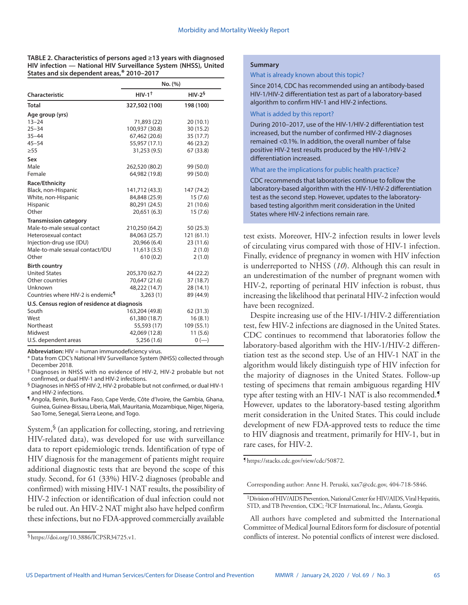**TABLE 2. Characteristics of persons aged ≥13 years with diagnosed HIV infection — National HIV Surveillance System (NHSS), United States and six dependent areas,\* 2010–2017**

|                                               | No. (%)              |            |  |
|-----------------------------------------------|----------------------|------------|--|
| Characteristic                                | $HIV-1$ <sup>+</sup> | $HIV-26$   |  |
| <b>Total</b>                                  | 327,502 (100)        | 198 (100)  |  |
| Age group (yrs)                               |                      |            |  |
| $13 - 24$                                     | 71,893 (22)          | 20(10.1)   |  |
| $25 - 34$                                     | 100,937 (30.8)       | 30(15.2)   |  |
| $35 - 44$                                     | 67,462 (20.6)        | 35(17.7)   |  |
| $45 - 54$                                     | 55,957 (17.1)        | 46 (23.2)  |  |
| $\geq 55$                                     | 31,253 (9.5)         | 67 (33.8)  |  |
| Sex                                           |                      |            |  |
| Male                                          | 262,520 (80.2)       | 99 (50.0)  |  |
| Female                                        | 64,982 (19.8)        | 99 (50.0)  |  |
| Race/Ethnicity                                |                      |            |  |
| Black, non-Hispanic                           | 141,712 (43.3)       | 147 (74.2) |  |
| White, non-Hispanic                           | 84,848 (25.9)        | 15(7.6)    |  |
| Hispanic                                      | 80,291 (24.5)        | 21(10.6)   |  |
| Other                                         | 20,651 (6.3)         | 15(7.6)    |  |
| <b>Transmission category</b>                  |                      |            |  |
| Male-to-male sexual contact                   | 210,250 (64.2)       | 50(25.3)   |  |
| Heterosexual contact                          | 84,063 (25.7)        | 121(61.1)  |  |
| Injection-drug use (IDU)                      | 20,966 (6.4)         | 23(11.6)   |  |
| Male-to-male sexual contact/IDU               | 11,613(3.5)          | 2(1.0)     |  |
| Other                                         | 610(0.2)             | 2(1.0)     |  |
| <b>Birth country</b>                          |                      |            |  |
| <b>United States</b>                          | 205,370 (62.7)       | 44 (22.2)  |  |
| Other countries                               | 70,647 (21.6)        | 37 (18.7)  |  |
| Unknown                                       | 48,222 (14.7)        | 28 (14.1)  |  |
| Countries where HIV-2 is endemic <sup>¶</sup> | 3,263(1)             | 89 (44.9)  |  |
| U.S. Census region of residence at diagnosis  |                      |            |  |
| South                                         | 163,204 (49.8)       | 62 (31.3)  |  |
| West                                          | 61,380 (18.7)        | 16(8.1)    |  |
| Northeast                                     | 55,593 (17)          | 109 (55.1) |  |
| Midwest                                       | 42,069 (12.8)        | 11(5.6)    |  |
| U.S. dependent areas                          | 5,256(1.6)           | $0 (-)$    |  |

**Abbreviation:** HIV = human immunodeficiency virus.

\* Data from CDC's National HIV Surveillance System (NHSS) collected through December 2018.

† Diagnoses in NHSS with no evidence of HIV-2, HIV-2 probable but not confirmed, or dual HIV-1 and HIV-2 infections.

§ Diagnoses in NHSS of HIV-2, HIV-2 probable but not confirmed, or dual HIV-1 and HIV-2 infections.

¶ Angola, Benin, Burkina Faso, Cape Verde, Côte d'Ivoire, the Gambia, Ghana, Guinea, Guinea-Bissau, Liberia, Mali, Mauritania, Mozambique, Niger, Nigeria, Sao Tome, Senegal, Sierra Leone, and Togo.

System, $\sqrt[6]{\ }$  (an application for collecting, storing, and retrieving HIV-related data), was developed for use with surveillance data to report epidemiologic trends. Identification of type of HIV diagnosis for the management of patients might require additional diagnostic tests that are beyond the scope of this study. Second, for 61 (33%) HIV-2 diagnoses (probable and confirmed) with missing HIV-1 NAT results, the possibility of HIV-2 infection or identification of dual infection could not be ruled out. An HIV-2 NAT might also have helped confirm these infections, but no FDA-approved commercially available

## **Summary**

### What is already known about this topic?

Since 2014, CDC has recommended using an antibody-based HIV-1/HIV-2 differentiation test as part of a laboratory-based algorithm to confirm HIV-1 and HIV-2 infections.

#### What is added by this report?

During 2010–2017, use of the HIV-1/HIV-2 differentiation test increased, but the number of confirmed HIV-2 diagnoses remained <0.1%. In addition, the overall number of false positive HIV-2 test results produced by the HIV-1/HIV-2 differentiation increased.

## What are the implications for public health practice?

CDC recommends that laboratories continue to follow the laboratory-based algorithm with the HIV-1/HIV-2 differentiation test as the second step. However, updates to the laboratorybased testing algorithm merit consideration in the United States where HIV-2 infections remain rare.

test exists. Moreover, HIV-2 infection results in lower levels of circulating virus compared with those of HIV-1 infection. Finally, evidence of pregnancy in women with HIV infection is underreported to NHSS (*10*). Although this can result in an underestimation of the number of pregnant women with HIV-2, reporting of perinatal HIV infection is robust, thus increasing the likelihood that perinatal HIV-2 infection would have been recognized.

Despite increasing use of the HIV-1/HIV-2 differentiation test, few HIV-2 infections are diagnosed in the United States. CDC continues to recommend that laboratories follow the laboratory-based algorithm with the HIV-1/HIV-2 differentiation test as the second step. Use of an HIV-1 NAT in the algorithm would likely distinguish type of HIV infection for the majority of diagnoses in the United States. Follow-up testing of specimens that remain ambiguous regarding HIV type after testing with an HIV-1 NAT is also recommended.¶ However, updates to the laboratory-based testing algorithm merit consideration in the United States. This could include development of new FDA-approved tests to reduce the time to HIV diagnosis and treatment, primarily for HIV-1, but in rare cases, for HIV-2.

¶ [https://stacks.cdc.gov/view/cdc/50872.](https://stacks.cdc.gov/view/cdc/50872)

Corresponding author: Anne H. Peruski, [xax7@cdc.gov](mailto:xax7@cdc.gov), 404-718-5846.

All authors have completed and submitted the International Committee of Medical Journal Editors form for disclosure of potential conflicts of interest. No potential conflicts of interest were disclosed.

<sup>§</sup>[https://doi.org/10.3886/ICPSR34725.v1.](https://doi.org/10.3886/ICPSR34725.v1)

<sup>&</sup>lt;sup>1</sup> Division of HIV/AIDS Prevention, National Center for HIV/AIDS, Viral Hepatitis, STD, and TB Prevention, CDC; <sup>2</sup>ICF International, Inc., Atlanta, Georgia.